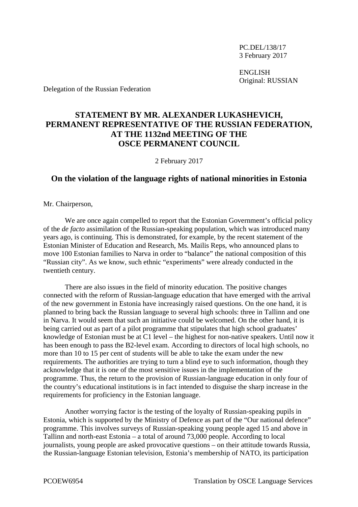PC.DEL/138/17 3 February 2017

ENGLISH Original: RUSSIAN

Delegation of the Russian Federation

## **STATEMENT BY MR. ALEXANDER LUKASHEVICH, PERMANENT REPRESENTATIVE OF THE RUSSIAN FEDERATION, AT THE 1132nd MEETING OF THE OSCE PERMANENT COUNCIL**

2 February 2017

## **On the violation of the language rights of national minorities in Estonia**

Mr. Chairperson,

We are once again compelled to report that the Estonian Government's official policy of the *de facto* assimilation of the Russian-speaking population, which was introduced many years ago, is continuing. This is demonstrated, for example, by the recent statement of the Estonian Minister of Education and Research, Ms. Mailis Reps, who announced plans to move 100 Estonian families to Narva in order to "balance" the national composition of this "Russian city". As we know, such ethnic "experiments" were already conducted in the twentieth century.

There are also issues in the field of minority education. The positive changes connected with the reform of Russian-language education that have emerged with the arrival of the new government in Estonia have increasingly raised questions. On the one hand, it is planned to bring back the Russian language to several high schools: three in Tallinn and one in Narva. It would seem that such an initiative could be welcomed. On the other hand, it is being carried out as part of a pilot programme that stipulates that high school graduates' knowledge of Estonian must be at C1 level – the highest for non-native speakers. Until now it has been enough to pass the B2-level exam. According to directors of local high schools, no more than 10 to 15 per cent of students will be able to take the exam under the new requirements. The authorities are trying to turn a blind eye to such information, though they acknowledge that it is one of the most sensitive issues in the implementation of the programme. Thus, the return to the provision of Russian-language education in only four of the country's educational institutions is in fact intended to disguise the sharp increase in the requirements for proficiency in the Estonian language.

Another worrying factor is the testing of the loyalty of Russian-speaking pupils in Estonia, which is supported by the Ministry of Defence as part of the "Our national defence" programme. This involves surveys of Russian-speaking young people aged 15 and above in Tallinn and north-east Estonia – a total of around 73,000 people. According to local journalists, young people are asked provocative questions – on their attitude towards Russia, the Russian-language Estonian television, Estonia's membership of NATO, its participation